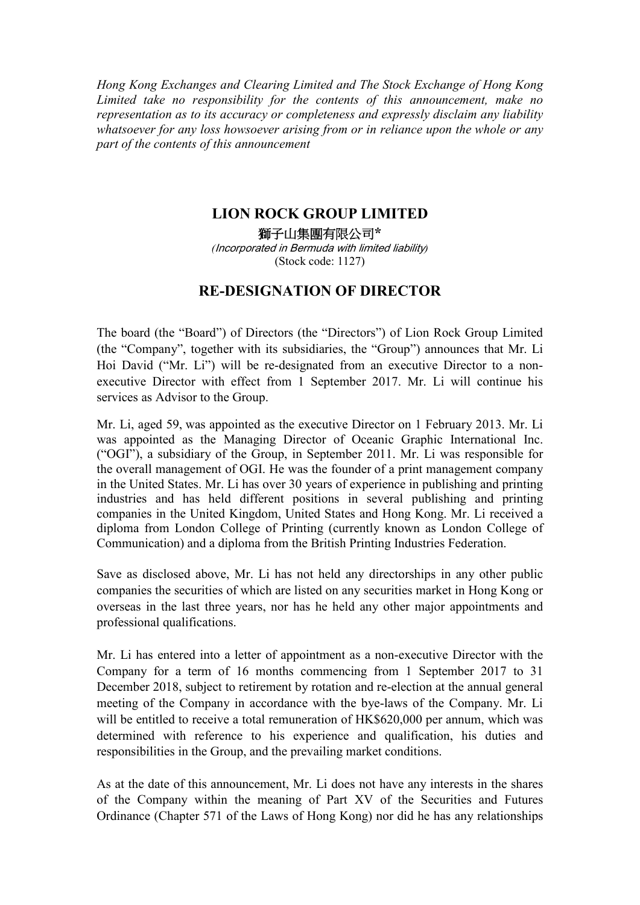*Hong Kong Exchanges and Clearing Limited and The Stock Exchange of Hong Kong Limited take no responsibility for the contents of this announcement, make no representation as to its accuracy or completeness and expressly disclaim any liability whatsoever for any loss howsoever arising from or in reliance upon the whole or any part of the contents of this announcement* 

## **LION ROCK GROUP LIMITED**

獅子山集團有限公司**\***  *(*Incorporated in Bermuda with limited liability*)*  (Stock code: 1127)

## **RE-DESIGNATION OF DIRECTOR**

The board (the "Board") of Directors (the "Directors") of Lion Rock Group Limited (the "Company", together with its subsidiaries, the "Group") announces that Mr. Li Hoi David ("Mr. Li") will be re-designated from an executive Director to a nonexecutive Director with effect from 1 September 2017. Mr. Li will continue his services as Advisor to the Group.

Mr. Li, aged 59, was appointed as the executive Director on 1 February 2013. Mr. Li was appointed as the Managing Director of Oceanic Graphic International Inc. ("OGI"), a subsidiary of the Group, in September 2011. Mr. Li was responsible for the overall management of OGI. He was the founder of a print management company in the United States. Mr. Li has over 30 years of experience in publishing and printing industries and has held different positions in several publishing and printing companies in the United Kingdom, United States and Hong Kong. Mr. Li received a diploma from London College of Printing (currently known as London College of Communication) and a diploma from the British Printing Industries Federation.

Save as disclosed above, Mr. Li has not held any directorships in any other public companies the securities of which are listed on any securities market in Hong Kong or overseas in the last three years, nor has he held any other major appointments and professional qualifications.

Mr. Li has entered into a letter of appointment as a non-executive Director with the Company for a term of 16 months commencing from 1 September 2017 to 31 December 2018, subject to retirement by rotation and re-election at the annual general meeting of the Company in accordance with the bye-laws of the Company. Mr. Li will be entitled to receive a total remuneration of HK\$620,000 per annum, which was determined with reference to his experience and qualification, his duties and responsibilities in the Group, and the prevailing market conditions.

As at the date of this announcement, Mr. Li does not have any interests in the shares of the Company within the meaning of Part XV of the Securities and Futures Ordinance (Chapter 571 of the Laws of Hong Kong) nor did he has any relationships